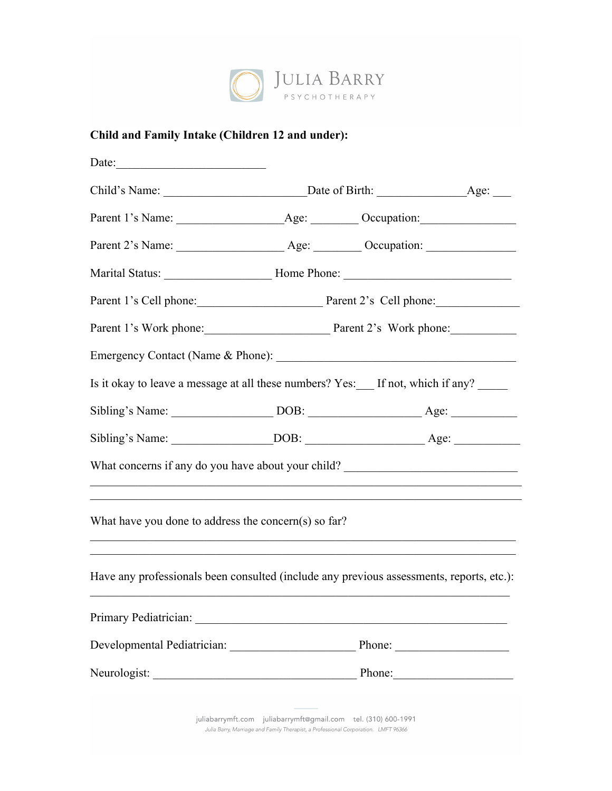

## **Child and Family Intake (Children 12 and under):**

| Date: $\qquad \qquad$                                                                    |                                               |        |  |  |  |
|------------------------------------------------------------------------------------------|-----------------------------------------------|--------|--|--|--|
|                                                                                          |                                               |        |  |  |  |
|                                                                                          |                                               |        |  |  |  |
|                                                                                          |                                               |        |  |  |  |
|                                                                                          |                                               |        |  |  |  |
|                                                                                          | Parent 1's Cell phone: Parent 2's Cell phone: |        |  |  |  |
|                                                                                          | Parent 1's Work phone: Parent 2's Work phone: |        |  |  |  |
|                                                                                          |                                               |        |  |  |  |
| Is it okay to leave a message at all these numbers? Yes: If not, which if any?           |                                               |        |  |  |  |
|                                                                                          |                                               |        |  |  |  |
|                                                                                          |                                               |        |  |  |  |
| What concerns if any do you have about your child? ______________________________        |                                               |        |  |  |  |
| What have you done to address the concern(s) so far?                                     |                                               |        |  |  |  |
| Have any professionals been consulted (include any previous assessments, reports, etc.): |                                               |        |  |  |  |
|                                                                                          |                                               |        |  |  |  |
|                                                                                          |                                               | Phone: |  |  |  |
| Neurologist:                                                                             |                                               | Phone: |  |  |  |
|                                                                                          |                                               |        |  |  |  |

juliabarrymft.com juliabarrymft@gmail.com tel. (310) 600-1991 Julia Barry, Marriage and Family Therapist, a Professional Corporation. LMFT 96366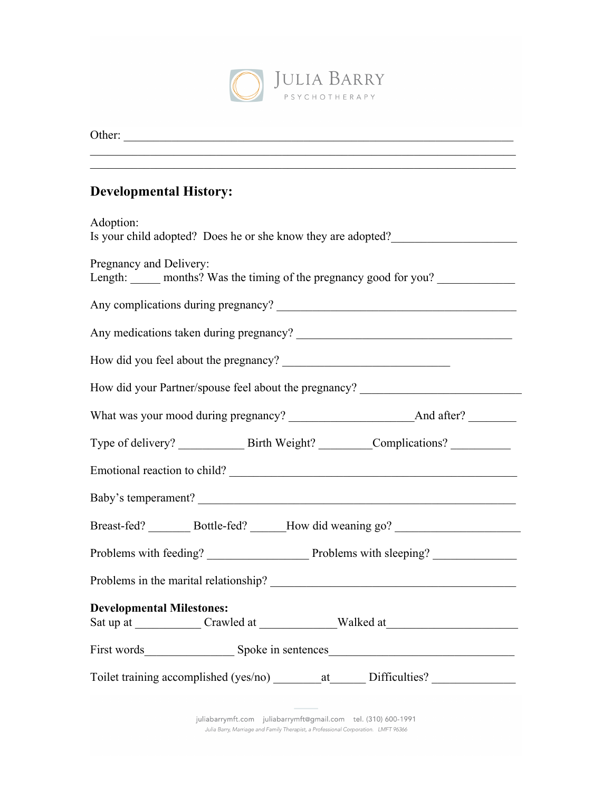

| Other:<br><u> 1989 - John Stein, Amerikaansk politiker († 1989)</u>                                          |  |  |  |  |
|--------------------------------------------------------------------------------------------------------------|--|--|--|--|
| <u> 1989 - John Stone, amerikansk politiker (d. 1989)</u><br><b>Developmental History:</b>                   |  |  |  |  |
| Adoption:<br>Is your child adopted? Does he or she know they are adopted?                                    |  |  |  |  |
| Pregnancy and Delivery:<br>Length: ______ months? Was the timing of the pregnancy good for you? ____________ |  |  |  |  |
|                                                                                                              |  |  |  |  |
|                                                                                                              |  |  |  |  |
|                                                                                                              |  |  |  |  |
| How did your Partner/spouse feel about the pregnancy? __________________________                             |  |  |  |  |
|                                                                                                              |  |  |  |  |
|                                                                                                              |  |  |  |  |
|                                                                                                              |  |  |  |  |
| Baby's temperament?                                                                                          |  |  |  |  |
| Breast-fed? _________ Bottle-fed? _______ How did weaning go? ___________________                            |  |  |  |  |
|                                                                                                              |  |  |  |  |
| Problems in the marital relationship?                                                                        |  |  |  |  |
| <b>Developmental Milestones:</b>                                                                             |  |  |  |  |
|                                                                                                              |  |  |  |  |
| Toilet training accomplished (yes/no) _________ at ________ Difficulties? __________________________         |  |  |  |  |

juliabarrymft.com juliabarrymft@gmail.com tel. (310) 600-1991 Julia Barry, Marriage and Family Therapist, a Professional Corporation. LMFT 96366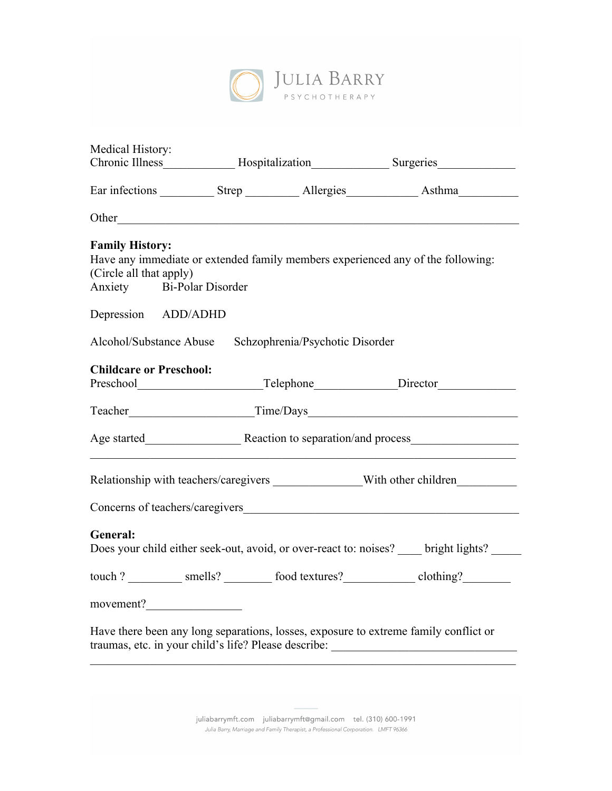

| Medical History:                                        |                                                                                                     |  |                                                                                                                                              |  |
|---------------------------------------------------------|-----------------------------------------------------------------------------------------------------|--|----------------------------------------------------------------------------------------------------------------------------------------------|--|
|                                                         | Chronic Illness______________ Hospitalization________________ Surgeries____________________________ |  |                                                                                                                                              |  |
|                                                         |                                                                                                     |  |                                                                                                                                              |  |
|                                                         |                                                                                                     |  |                                                                                                                                              |  |
| <b>Family History:</b>                                  |                                                                                                     |  |                                                                                                                                              |  |
|                                                         |                                                                                                     |  | Have any immediate or extended family members experienced any of the following:                                                              |  |
| (Circle all that apply)                                 |                                                                                                     |  |                                                                                                                                              |  |
| Anxiety Bi-Polar Disorder                               |                                                                                                     |  |                                                                                                                                              |  |
| Depression ADD/ADHD                                     |                                                                                                     |  |                                                                                                                                              |  |
| Alcohol/Substance Abuse Schzophrenia/Psychotic Disorder |                                                                                                     |  |                                                                                                                                              |  |
| <b>Childcare or Preschool:</b>                          |                                                                                                     |  |                                                                                                                                              |  |
|                                                         |                                                                                                     |  |                                                                                                                                              |  |
|                                                         |                                                                                                     |  | Teacher Time/Days                                                                                                                            |  |
|                                                         |                                                                                                     |  |                                                                                                                                              |  |
|                                                         |                                                                                                     |  | Relationship with teachers/caregivers _______________With other children_________                                                            |  |
| Concerns of teachers/caregivers <b>Exercísion</b> 2014  |                                                                                                     |  |                                                                                                                                              |  |
| General:                                                |                                                                                                     |  |                                                                                                                                              |  |
|                                                         |                                                                                                     |  | Does your child either seek-out, avoid, or over-react to: noises? bright lights?                                                             |  |
|                                                         |                                                                                                     |  | touch ? __________ smells? ________ food textures? ___________ clothing? ________                                                            |  |
| movement?                                               |                                                                                                     |  |                                                                                                                                              |  |
|                                                         |                                                                                                     |  | Have there been any long separations, losses, exposure to extreme family conflict or<br>traumas, etc. in your child's life? Please describe: |  |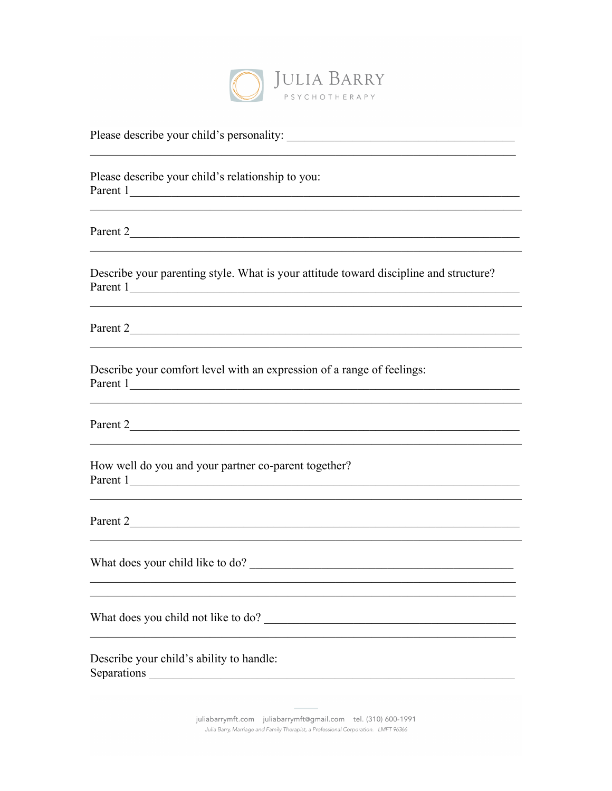

<u> 1989 - Johann Stoff, amerikansk politiker (d. 1989)</u>

Please describe your child's relationship to you: Parent 1

Parent 2

Describe your parenting style. What is your attitude toward discipline and structure? Parent 1

<u> 1989 - Andrea Station (b. 1989)</u><br>1980 - Carl Britannich (b. 1989)

Parent 2

Describe your comfort level with an expression of a range of feelings: Parent 1

Parent 2

How well do you and your partner co-parent together? Parent 1

Parent 2

What does you child not like to do?

Describe your child's ability to handle: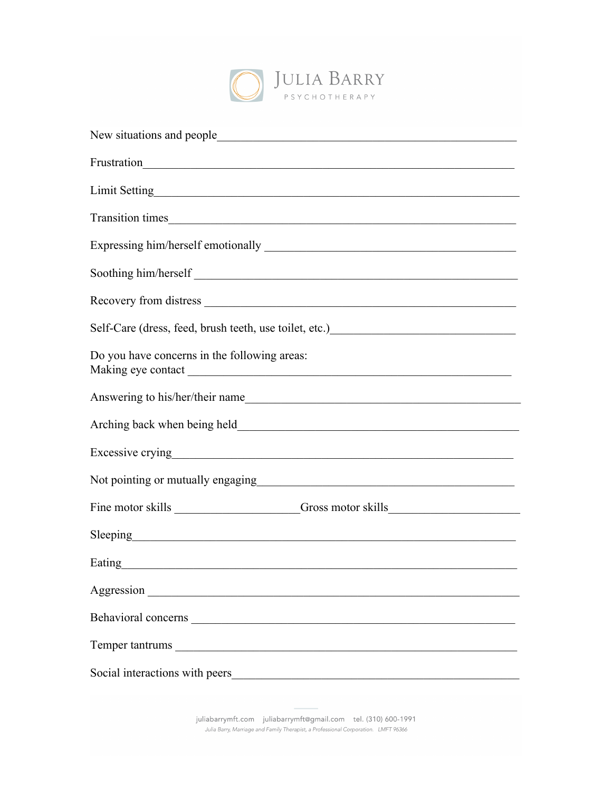

| New situations and people<br><u> 1989 - Johann John Stone, market fransk konge og den større og den større og den større og den som for de s</u>                                                                                       |  |  |  |  |
|----------------------------------------------------------------------------------------------------------------------------------------------------------------------------------------------------------------------------------------|--|--|--|--|
|                                                                                                                                                                                                                                        |  |  |  |  |
|                                                                                                                                                                                                                                        |  |  |  |  |
|                                                                                                                                                                                                                                        |  |  |  |  |
|                                                                                                                                                                                                                                        |  |  |  |  |
| Soothing him/herself                                                                                                                                                                                                                   |  |  |  |  |
|                                                                                                                                                                                                                                        |  |  |  |  |
| Self-Care (dress, feed, brush teeth, use toilet, etc.)<br><u>Letter and the set of the set of the set of the set of the set of the set of the set of the set of the set of the set of the set of the set of the set of the set of </u> |  |  |  |  |
| Do you have concerns in the following areas:                                                                                                                                                                                           |  |  |  |  |
| Answering to his/her/their name                                                                                                                                                                                                        |  |  |  |  |
|                                                                                                                                                                                                                                        |  |  |  |  |
| Excessive crying executive contract to the contract of the contract of the contract of the contract of the contract of the contract of the contract of the contract of the contract of the contract of the contract of the con         |  |  |  |  |
| Not pointing or mutually engaging<br><u> 1989 - Johann Stoff, deutscher Stoff, der Stoff, der Stoff, der Stoff, der Stoff, der Stoff, der Stoff, der S</u>                                                                             |  |  |  |  |
| Fine motor skills _____________________Gross motor skills ______________________                                                                                                                                                       |  |  |  |  |
| Sleeping expression and the state of the state of the state of the state of the state of the state of the state of the state of the state of the state of the state of the state of the state of the state of the state of the         |  |  |  |  |
| Eating entries and the set of the set of the set of the set of the set of the set of the set of the set of the                                                                                                                         |  |  |  |  |
|                                                                                                                                                                                                                                        |  |  |  |  |
|                                                                                                                                                                                                                                        |  |  |  |  |
|                                                                                                                                                                                                                                        |  |  |  |  |
| Social interactions with peers                                                                                                                                                                                                         |  |  |  |  |